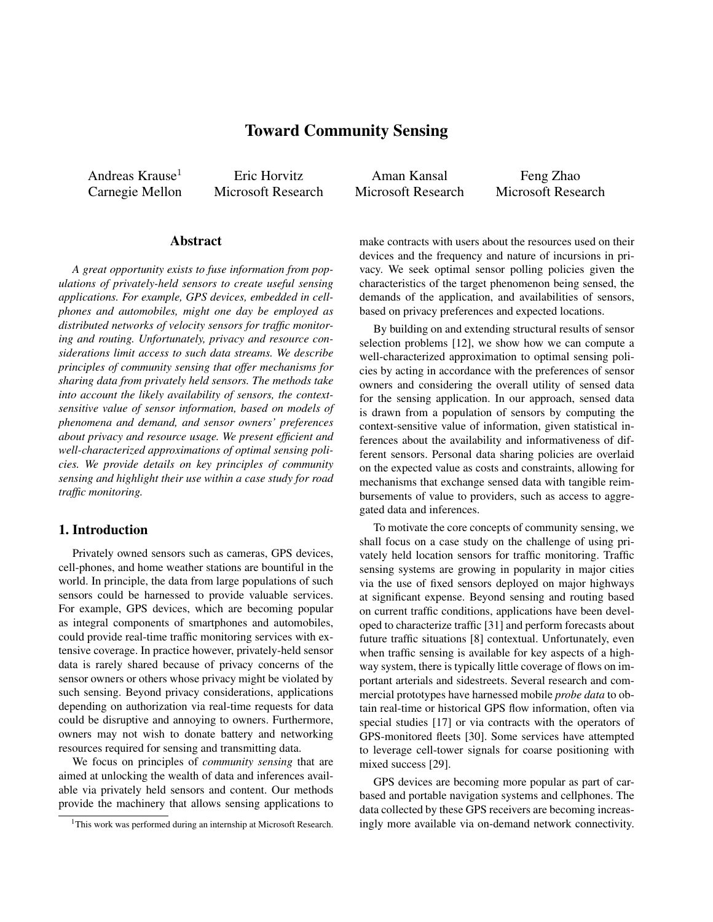# Toward Community Sensing

Andreas Krause<sup>1</sup> Carnegie Mellon

Eric Horvitz Microsoft Research

Aman Kansal Microsoft Research

Feng Zhao Microsoft Research

### Abstract

*A great opportunity exists to fuse information from populations of privately-held sensors to create useful sensing applications. For example, GPS devices, embedded in cellphones and automobiles, might one day be employed as distributed networks of velocity sensors for traffic monitoring and routing. Unfortunately, privacy and resource considerations limit access to such data streams. We describe principles of community sensing that offer mechanisms for sharing data from privately held sensors. The methods take into account the likely availability of sensors, the contextsensitive value of sensor information, based on models of phenomena and demand, and sensor owners' preferences about privacy and resource usage. We present efficient and well-characterized approximations of optimal sensing policies. We provide details on key principles of community sensing and highlight their use within a case study for road traffic monitoring.*

# 1. Introduction

Privately owned sensors such as cameras, GPS devices, cell-phones, and home weather stations are bountiful in the world. In principle, the data from large populations of such sensors could be harnessed to provide valuable services. For example, GPS devices, which are becoming popular as integral components of smartphones and automobiles, could provide real-time traffic monitoring services with extensive coverage. In practice however, privately-held sensor data is rarely shared because of privacy concerns of the sensor owners or others whose privacy might be violated by such sensing. Beyond privacy considerations, applications depending on authorization via real-time requests for data could be disruptive and annoying to owners. Furthermore, owners may not wish to donate battery and networking resources required for sensing and transmitting data.

We focus on principles of *community sensing* that are aimed at unlocking the wealth of data and inferences available via privately held sensors and content. Our methods provide the machinery that allows sensing applications to make contracts with users about the resources used on their devices and the frequency and nature of incursions in privacy. We seek optimal sensor polling policies given the characteristics of the target phenomenon being sensed, the demands of the application, and availabilities of sensors, based on privacy preferences and expected locations.

By building on and extending structural results of sensor selection problems [12], we show how we can compute a well-characterized approximation to optimal sensing policies by acting in accordance with the preferences of sensor owners and considering the overall utility of sensed data for the sensing application. In our approach, sensed data is drawn from a population of sensors by computing the context-sensitive value of information, given statistical inferences about the availability and informativeness of different sensors. Personal data sharing policies are overlaid on the expected value as costs and constraints, allowing for mechanisms that exchange sensed data with tangible reimbursements of value to providers, such as access to aggregated data and inferences.

To motivate the core concepts of community sensing, we shall focus on a case study on the challenge of using privately held location sensors for traffic monitoring. Traffic sensing systems are growing in popularity in major cities via the use of fixed sensors deployed on major highways at significant expense. Beyond sensing and routing based on current traffic conditions, applications have been developed to characterize traffic [31] and perform forecasts about future traffic situations [8] contextual. Unfortunately, even when traffic sensing is available for key aspects of a highway system, there is typically little coverage of flows on important arterials and sidestreets. Several research and commercial prototypes have harnessed mobile *probe data* to obtain real-time or historical GPS flow information, often via special studies [17] or via contracts with the operators of GPS-monitored fleets [30]. Some services have attempted to leverage cell-tower signals for coarse positioning with mixed success [29].

GPS devices are becoming more popular as part of carbased and portable navigation systems and cellphones. The data collected by these GPS receivers are becoming increasingly more available via on-demand network connectivity.

<sup>&</sup>lt;sup>1</sup>This work was performed during an internship at Microsoft Research.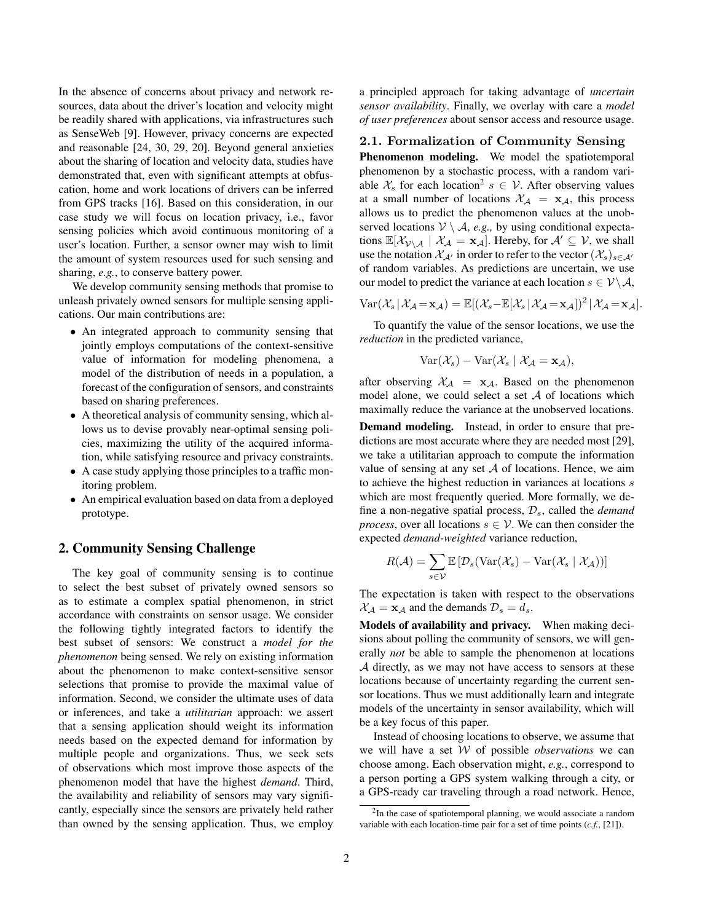In the absence of concerns about privacy and network resources, data about the driver's location and velocity might be readily shared with applications, via infrastructures such as SenseWeb [9]. However, privacy concerns are expected and reasonable [24, 30, 29, 20]. Beyond general anxieties about the sharing of location and velocity data, studies have demonstrated that, even with significant attempts at obfuscation, home and work locations of drivers can be inferred from GPS tracks [16]. Based on this consideration, in our case study we will focus on location privacy, i.e., favor sensing policies which avoid continuous monitoring of a user's location. Further, a sensor owner may wish to limit the amount of system resources used for such sensing and sharing, *e.g.*, to conserve battery power.

We develop community sensing methods that promise to unleash privately owned sensors for multiple sensing applications. Our main contributions are:

- An integrated approach to community sensing that jointly employs computations of the context-sensitive value of information for modeling phenomena, a model of the distribution of needs in a population, a forecast of the configuration of sensors, and constraints based on sharing preferences.
- A theoretical analysis of community sensing, which allows us to devise provably near-optimal sensing policies, maximizing the utility of the acquired information, while satisfying resource and privacy constraints.
- A case study applying those principles to a traffic monitoring problem.
- An empirical evaluation based on data from a deployed prototype.

# 2. Community Sensing Challenge

The key goal of community sensing is to continue to select the best subset of privately owned sensors so as to estimate a complex spatial phenomenon, in strict accordance with constraints on sensor usage. We consider the following tightly integrated factors to identify the best subset of sensors: We construct a *model for the phenomenon* being sensed. We rely on existing information about the phenomenon to make context-sensitive sensor selections that promise to provide the maximal value of information. Second, we consider the ultimate uses of data or inferences, and take a *utilitarian* approach: we assert that a sensing application should weight its information needs based on the expected demand for information by multiple people and organizations. Thus, we seek sets of observations which most improve those aspects of the phenomenon model that have the highest *demand*. Third, the availability and reliability of sensors may vary significantly, especially since the sensors are privately held rather than owned by the sensing application. Thus, we employ

a principled approach for taking advantage of *uncertain sensor availability*. Finally, we overlay with care a *model of user preferences* about sensor access and resource usage.

### 2.1. Formalization of Community Sensing

Phenomenon modeling. We model the spatiotemporal phenomenon by a stochastic process, with a random variable  $\mathcal{X}_s$  for each location<sup>2</sup>  $s \in \mathcal{V}$ . After observing values at a small number of locations  $\mathcal{X}_A = \mathbf{x}_A$ , this process allows us to predict the phenomenon values at the unobserved locations  $V \setminus A$ , *e.g.*, by using conditional expectations  $\mathbb{E}[\mathcal{X}_{\mathcal{V}\setminus\mathcal{A}} \mid \mathcal{X}_{\mathcal{A}} = \mathbf{x}_{\mathcal{A}}].$  Hereby, for  $\mathcal{A}' \subseteq \mathcal{V}$ , we shall use the notation  $\mathcal{X}_{\mathcal{A}'}$  in order to refer to the vector  $(\mathcal{X}_s)_{s\in\mathcal{A}'}$ of random variables. As predictions are uncertain, we use our model to predict the variance at each location  $s \in V \backslash A$ ,

 $\text{Var}(\mathcal{X}_s | \mathcal{X}_\mathcal{A} = \mathbf{x}_\mathcal{A}) = \mathbb{E}[(\mathcal{X}_s - \mathbb{E}[\mathcal{X}_s | \mathcal{X}_\mathcal{A} = \mathbf{x}_\mathcal{A}])^2 | \mathcal{X}_\mathcal{A} = \mathbf{x}_\mathcal{A}].$ 

To quantify the value of the sensor locations, we use the *reduction* in the predicted variance,

$$
\text{Var}(\mathcal{X}_s) - \text{Var}(\mathcal{X}_s \mid \mathcal{X}_A = \mathbf{x}_A),
$$

after observing  $X_A = x_A$ . Based on the phenomenon model alone, we could select a set  $A$  of locations which maximally reduce the variance at the unobserved locations.

Demand modeling. Instead, in order to ensure that predictions are most accurate where they are needed most [29], we take a utilitarian approach to compute the information value of sensing at any set  $A$  of locations. Hence, we aim to achieve the highest reduction in variances at locations s which are most frequently queried. More formally, we define a non-negative spatial process,  $\mathcal{D}_s$ , called the *demand process*, over all locations  $s \in V$ . We can then consider the expected *demand-weighted* variance reduction,

$$
R(\mathcal{A}) = \sum_{s \in \mathcal{V}} \mathbb{E}\left[\mathcal{D}_s(\text{Var}(\mathcal{X}_s) - \text{Var}(\mathcal{X}_s \mid \mathcal{X}_{\mathcal{A}}))\right]
$$

The expectation is taken with respect to the observations  $X_A = \mathbf{x}_A$  and the demands  $\mathcal{D}_s = d_s$ .

Models of availability and privacy. When making decisions about polling the community of sensors, we will generally *not* be able to sample the phenomenon at locations A directly, as we may not have access to sensors at these locations because of uncertainty regarding the current sensor locations. Thus we must additionally learn and integrate models of the uncertainty in sensor availability, which will be a key focus of this paper.

Instead of choosing locations to observe, we assume that we will have a set W of possible *observations* we can choose among. Each observation might, *e.g.*, correspond to a person porting a GPS system walking through a city, or a GPS-ready car traveling through a road network. Hence,

<sup>&</sup>lt;sup>2</sup>In the case of spatiotemporal planning, we would associate a random variable with each location-time pair for a set of time points (*c.f.*, [21]).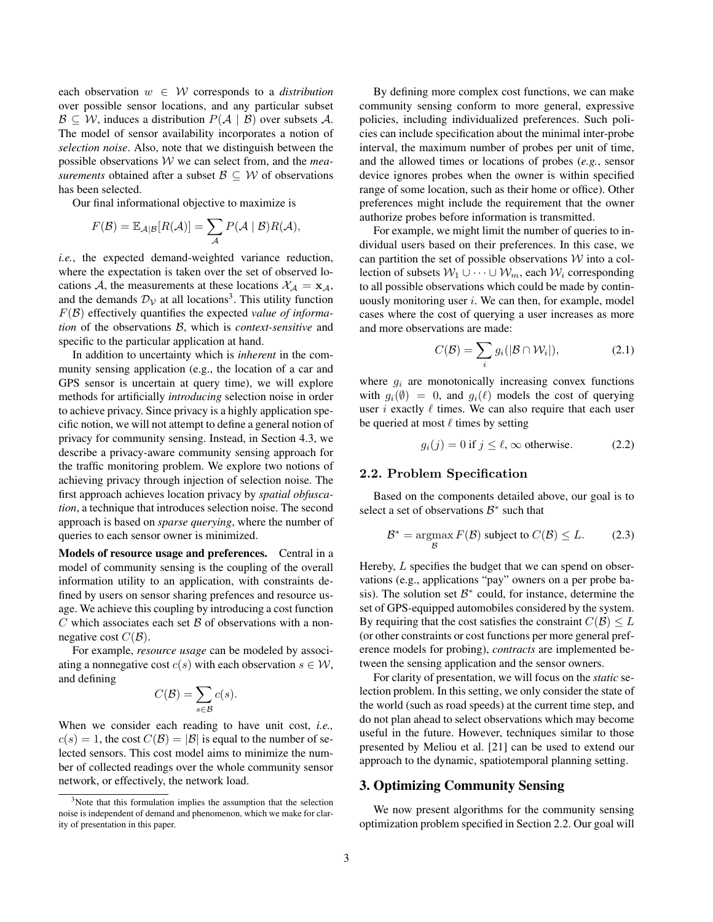each observation  $w \in W$  corresponds to a *distribution* over possible sensor locations, and any particular subset  $\mathcal{B} \subset \mathcal{W}$ , induces a distribution  $P(\mathcal{A} | \mathcal{B})$  over subsets A. The model of sensor availability incorporates a notion of *selection noise*. Also, note that we distinguish between the possible observations W we can select from, and the *measurements* obtained after a subset  $\mathcal{B} \subseteq \mathcal{W}$  of observations has been selected.

Our final informational objective to maximize is

$$
F(\mathcal{B}) = \mathbb{E}_{\mathcal{A}|\mathcal{B}}[R(\mathcal{A})] = \sum_{\mathcal{A}} P(\mathcal{A} | \mathcal{B}) R(\mathcal{A}),
$$

*i.e.*, the expected demand-weighted variance reduction, where the expectation is taken over the set of observed locations A, the measurements at these locations  $\mathcal{X}_A = \mathbf{x}_A$ , and the demands  $\mathcal{D}_{\mathcal{V}}$  at all locations<sup>3</sup>. This utility function F(B) effectively quantifies the expected *value of information* of the observations B, which is *context-sensitive* and specific to the particular application at hand.

In addition to uncertainty which is *inherent* in the community sensing application (e.g., the location of a car and GPS sensor is uncertain at query time), we will explore methods for artificially *introducing* selection noise in order to achieve privacy. Since privacy is a highly application specific notion, we will not attempt to define a general notion of privacy for community sensing. Instead, in Section 4.3, we describe a privacy-aware community sensing approach for the traffic monitoring problem. We explore two notions of achieving privacy through injection of selection noise. The first approach achieves location privacy by *spatial obfuscation*, a technique that introduces selection noise. The second approach is based on *sparse querying*, where the number of queries to each sensor owner is minimized.

Models of resource usage and preferences. Central in a model of community sensing is the coupling of the overall information utility to an application, with constraints defined by users on sensor sharing prefences and resource usage. We achieve this coupling by introducing a cost function  $C$  which associates each set  $\beta$  of observations with a nonnegative cost  $C(\mathcal{B})$ .

For example, *resource usage* can be modeled by associating a nonnegative cost  $c(s)$  with each observation  $s \in \mathcal{W}$ , and defining

$$
C(\mathcal{B}) = \sum_{s \in \mathcal{B}} c(s).
$$

When we consider each reading to have unit cost, *i.e.,*  $c(s) = 1$ , the cost  $C(\mathcal{B}) = |\mathcal{B}|$  is equal to the number of selected sensors. This cost model aims to minimize the number of collected readings over the whole community sensor network, or effectively, the network load.

By defining more complex cost functions, we can make community sensing conform to more general, expressive policies, including individualized preferences. Such policies can include specification about the minimal inter-probe interval, the maximum number of probes per unit of time, and the allowed times or locations of probes (*e.g.*, sensor device ignores probes when the owner is within specified range of some location, such as their home or office). Other preferences might include the requirement that the owner authorize probes before information is transmitted.

For example, we might limit the number of queries to individual users based on their preferences. In this case, we can partition the set of possible observations  $W$  into a collection of subsets  $W_1 \cup \cdots \cup W_m$ , each  $W_i$  corresponding to all possible observations which could be made by continuously monitoring user  $i$ . We can then, for example, model cases where the cost of querying a user increases as more and more observations are made:

$$
C(\mathcal{B}) = \sum_{i} g_i(|\mathcal{B} \cap \mathcal{W}_i|), \tag{2.1}
$$

where  $g_i$  are monotonically increasing convex functions with  $g_i(\emptyset) = 0$ , and  $g_i(\ell)$  models the cost of querying user *i* exactly  $\ell$  times. We can also require that each user be queried at most  $\ell$  times by setting

$$
g_i(j) = 0 \text{ if } j \le \ell, \infty \text{ otherwise.}
$$
 (2.2)

# 2.2. Problem Specification

Based on the components detailed above, our goal is to select a set of observations  $\mathcal{B}^*$  such that

$$
\mathcal{B}^* = \underset{\mathcal{B}}{\operatorname{argmax}} F(\mathcal{B}) \text{ subject to } C(\mathcal{B}) \le L. \tag{2.3}
$$

Hereby, L specifies the budget that we can spend on observations (e.g., applications "pay" owners on a per probe basis). The solution set  $\mathcal{B}^*$  could, for instance, determine the set of GPS-equipped automobiles considered by the system. By requiring that the cost satisfies the constraint  $C(\mathcal{B}) \leq L$ (or other constraints or cost functions per more general preference models for probing), *contracts* are implemented between the sensing application and the sensor owners.

For clarity of presentation, we will focus on the *static* selection problem. In this setting, we only consider the state of the world (such as road speeds) at the current time step, and do not plan ahead to select observations which may become useful in the future. However, techniques similar to those presented by Meliou et al. [21] can be used to extend our approach to the dynamic, spatiotemporal planning setting.

### 3. Optimizing Community Sensing

We now present algorithms for the community sensing optimization problem specified in Section 2.2. Our goal will

<sup>&</sup>lt;sup>3</sup>Note that this formulation implies the assumption that the selection noise is independent of demand and phenomenon, which we make for clarity of presentation in this paper.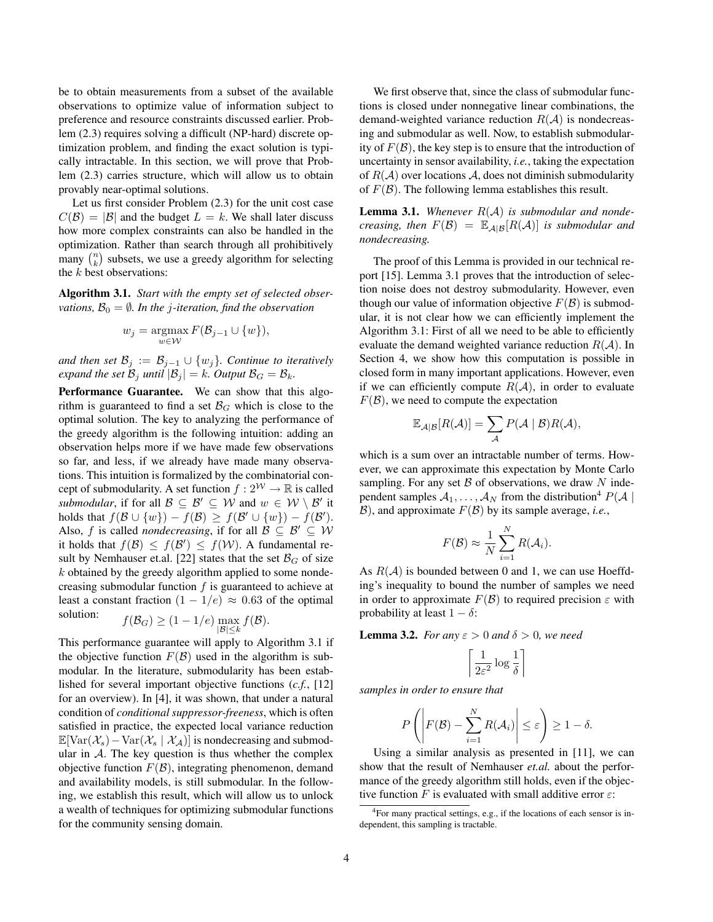be to obtain measurements from a subset of the available observations to optimize value of information subject to preference and resource constraints discussed earlier. Problem (2.3) requires solving a difficult (NP-hard) discrete optimization problem, and finding the exact solution is typically intractable. In this section, we will prove that Problem (2.3) carries structure, which will allow us to obtain provably near-optimal solutions.

Let us first consider Problem (2.3) for the unit cost case  $C(\mathcal{B}) = |\mathcal{B}|$  and the budget  $L = k$ . We shall later discuss how more complex constraints can also be handled in the optimization. Rather than search through all prohibitively many  $\binom{n}{k}$  subsets, we use a greedy algorithm for selecting the  $k$  best observations:

Algorithm 3.1. *Start with the empty set of selected observations,*  $B_0 = \emptyset$ *. In the j-iteration, find the observation* 

$$
w_j = \operatorname*{argmax}_{w \in \mathcal{W}} F(\mathcal{B}_{j-1} \cup \{w\}),
$$

*and then set*  $\mathcal{B}_j := \mathcal{B}_{j-1} \cup \{w_j\}$ *. Continue to iteratively expand the set*  $\mathcal{B}_j$  *until*  $|\mathcal{B}_j| = k$ *. Output*  $\mathcal{B}_G = \mathcal{B}_k$ *.* 

Performance Guarantee. We can show that this algorithm is guaranteed to find a set  $\mathcal{B}_G$  which is close to the optimal solution. The key to analyzing the performance of the greedy algorithm is the following intuition: adding an observation helps more if we have made few observations so far, and less, if we already have made many observations. This intuition is formalized by the combinatorial concept of submodularity. A set function  $f: 2^{\mathcal{W}} \to \mathbb{R}$  is called *submodular*, if for all  $\mathcal{B} \subseteq \mathcal{B}' \subseteq \mathcal{W}$  and  $w \in \mathcal{W} \setminus \mathcal{B}'$  it holds that  $f(\mathcal{B} \cup \{w\}) - f(\mathcal{B}) \ge f(\mathcal{B}' \cup \{w\}) - f(\mathcal{B}')$ . Also, f is called *nondecreasing*, if for all  $\mathcal{B} \subseteq \mathcal{B}' \subseteq \mathcal{W}$ it holds that  $f(\mathcal{B}) \leq f(\mathcal{B}') \leq f(\mathcal{W})$ . A fundamental result by Nemhauser et.al. [22] states that the set  $\mathcal{B}_G$  of size k obtained by the greedy algorithm applied to some nondecreasing submodular function f is guaranteed to achieve at least a constant fraction  $(1 - 1/e) \approx 0.63$  of the optimal solution:

$$
f(\mathcal{B}_G) \ge (1 - 1/e) \max_{|\mathcal{B}| \le k} f(\mathcal{B}).
$$

This performance guarantee will apply to Algorithm 3.1 if the objective function  $F(\mathcal{B})$  used in the algorithm is submodular. In the literature, submodularity has been established for several important objective functions (*c.f.*, [12] for an overview). In [4], it was shown, that under a natural condition of *conditional suppressor-freeness*, which is often satisfied in practice, the expected local variance reduction  $\mathbb{E}[\text{Var}(\mathcal{X}_s)-\text{Var}(\mathcal{X}_s \mid \mathcal{X}_A)]$  is nondecreasing and submodular in  $A$ . The key question is thus whether the complex objective function  $F(\mathcal{B})$ , integrating phenomenon, demand and availability models, is still submodular. In the following, we establish this result, which will allow us to unlock a wealth of techniques for optimizing submodular functions for the community sensing domain.

We first observe that, since the class of submodular functions is closed under nonnegative linear combinations, the demand-weighted variance reduction  $R(A)$  is nondecreasing and submodular as well. Now, to establish submodularity of  $F(\mathcal{B})$ , the key step is to ensure that the introduction of uncertainty in sensor availability, *i.e.*, taking the expectation of  $R(A)$  over locations A, does not diminish submodularity of  $F(\mathcal{B})$ . The following lemma establishes this result.

**Lemma 3.1.** Whenever  $R(A)$  is submodular and nonde*creasing, then*  $F(\mathcal{B}) = \mathbb{E}_{\mathcal{A}|\mathcal{B}}[R(\mathcal{A})]$  *is submodular and nondecreasing.*

The proof of this Lemma is provided in our technical report [15]. Lemma 3.1 proves that the introduction of selection noise does not destroy submodularity. However, even though our value of information objective  $F(\mathcal{B})$  is submodular, it is not clear how we can efficiently implement the Algorithm 3.1: First of all we need to be able to efficiently evaluate the demand weighted variance reduction  $R(A)$ . In Section 4, we show how this computation is possible in closed form in many important applications. However, even if we can efficiently compute  $R(A)$ , in order to evaluate  $F(\mathcal{B})$ , we need to compute the expectation

$$
\mathbb{E}_{\mathcal{A}|\mathcal{B}}[R(\mathcal{A})] = \sum_{\mathcal{A}} P(\mathcal{A} | \mathcal{B}) R(\mathcal{A}),
$$

which is a sum over an intractable number of terms. However, we can approximate this expectation by Monte Carlo sampling. For any set  $\beta$  of observations, we draw N independent samples  $A_1, \ldots, A_N$  from the distribution<sup>4</sup>  $P(A |$  $B$ ), and approximate  $F(B)$  by its sample average, *i.e.*,

$$
F(\mathcal{B}) \approx \frac{1}{N} \sum_{i=1}^{N} R(\mathcal{A}_i).
$$

As  $R(A)$  is bounded between 0 and 1, we can use Hoeffding's inequality to bound the number of samples we need in order to approximate  $F(\mathcal{B})$  to required precision  $\varepsilon$  with probability at least  $1 - \delta$ :

**Lemma 3.2.** *For any*  $\varepsilon > 0$  *and*  $\delta > 0$ *, we need* 

$$
\left\lceil\frac{1}{2\varepsilon^2}\log\frac{1}{\delta}\right\rceil
$$

*samples in order to ensure that*

$$
P\left(\left|F(\mathcal{B}) - \sum_{i=1}^{N} R(\mathcal{A}_i)\right| \leq \varepsilon\right) \geq 1 - \delta.
$$

Using a similar analysis as presented in [11], we can show that the result of Nemhauser *et.al.* about the performance of the greedy algorithm still holds, even if the objective function F is evaluated with small additive error  $\varepsilon$ :

<sup>4</sup>For many practical settings, e.g., if the locations of each sensor is independent, this sampling is tractable.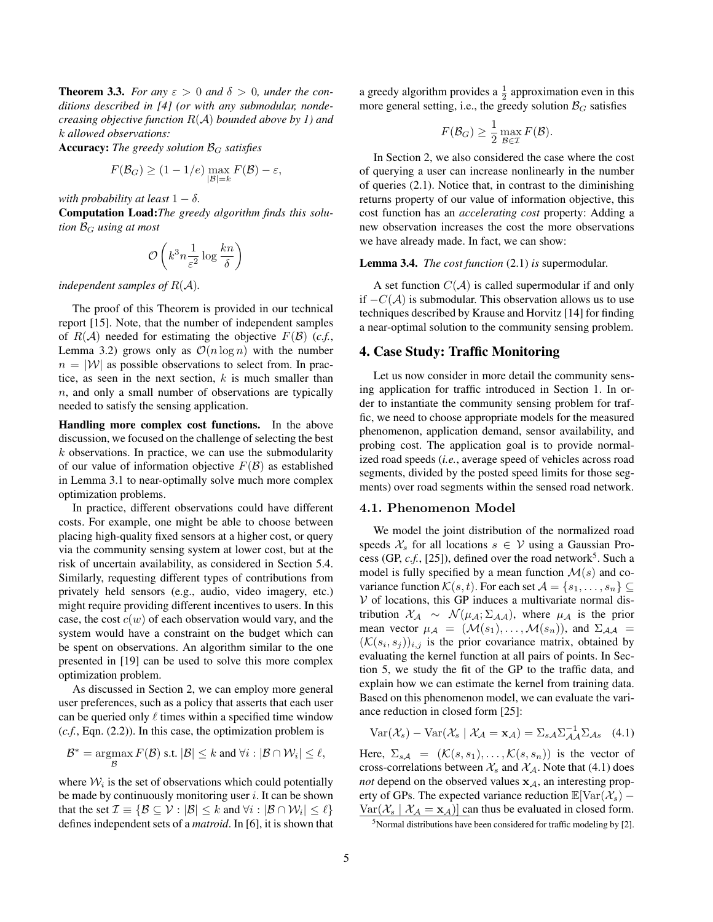**Theorem 3.3.** *For any*  $\varepsilon > 0$  *and*  $\delta > 0$ *, under the conditions described in [4] (or with any submodular, nondecreasing objective function* R(A) *bounded above by 1) and* k *allowed observations:*

Accuracy: *The greedy solution* B<sup>G</sup> *satisfies*

$$
F(\mathcal{B}_G) \ge (1 - 1/e) \max_{|\mathcal{B}| = k} F(\mathcal{B}) - \varepsilon,
$$

*with probability at least*  $1 - \delta$ *.* 

Computation Load:*The greedy algorithm finds this solution*  $B_G$  *using at most* 

$$
\mathcal{O}\left(k^3n \frac{1}{\varepsilon^2}\log \frac{kn}{\delta}\right)
$$

*independent samples of*  $R(A)$ *.* 

The proof of this Theorem is provided in our technical report [15]. Note, that the number of independent samples of  $R(A)$  needed for estimating the objective  $F(\mathcal{B})$  (*c.f.*, Lemma 3.2) grows only as  $\mathcal{O}(n \log n)$  with the number  $n = |W|$  as possible observations to select from. In practice, as seen in the next section,  $k$  is much smaller than n, and only a small number of observations are typically needed to satisfy the sensing application.

Handling more complex cost functions. In the above discussion, we focused on the challenge of selecting the best  $k$  observations. In practice, we can use the submodularity of our value of information objective  $F(\mathcal{B})$  as established in Lemma 3.1 to near-optimally solve much more complex optimization problems.

In practice, different observations could have different costs. For example, one might be able to choose between placing high-quality fixed sensors at a higher cost, or query via the community sensing system at lower cost, but at the risk of uncertain availability, as considered in Section 5.4. Similarly, requesting different types of contributions from privately held sensors (e.g., audio, video imagery, etc.) might require providing different incentives to users. In this case, the cost  $c(w)$  of each observation would vary, and the system would have a constraint on the budget which can be spent on observations. An algorithm similar to the one presented in [19] can be used to solve this more complex optimization problem.

As discussed in Section 2, we can employ more general user preferences, such as a policy that asserts that each user can be queried only  $\ell$  times within a specified time window (*c.f.*, Eqn. (2.2)). In this case, the optimization problem is

$$
\mathcal{B}^* = \operatorname*{argmax}_{\mathcal{B}} F(\mathcal{B}) \text{ s.t. } |\mathcal{B}| \leq k \text{ and } \forall i : |\mathcal{B} \cap \mathcal{W}_i| \leq \ell,
$$

where  $W_i$  is the set of observations which could potentially be made by continuously monitoring user  $i$ . It can be shown that the set  $\mathcal{I} \equiv \{\mathcal{B} \subseteq \mathcal{V}: |\mathcal{B}| \leq k \text{ and } \forall i: |\mathcal{B} \cap \mathcal{W}_i| \leq \ell\}$ defines independent sets of a *matroid*. In [6], it is shown that

a greedy algorithm provides a  $\frac{1}{2}$  approximation even in this more general setting, i.e., the greedy solution  $\mathcal{B}_G$  satisfies

$$
F(\mathcal{B}_G) \ge \frac{1}{2} \max_{\mathcal{B} \in \mathcal{I}} F(\mathcal{B}).
$$

In Section 2, we also considered the case where the cost of querying a user can increase nonlinearly in the number of queries (2.1). Notice that, in contrast to the diminishing returns property of our value of information objective, this cost function has an *accelerating cost* property: Adding a new observation increases the cost the more observations we have already made. In fact, we can show:

#### Lemma 3.4. *The cost function* (2.1) *is* supermodular*.*

A set function  $C(\mathcal{A})$  is called supermodular if and only if  $-C(A)$  is submodular. This observation allows us to use techniques described by Krause and Horvitz [14] for finding a near-optimal solution to the community sensing problem.

# 4. Case Study: Traffic Monitoring

Let us now consider in more detail the community sensing application for traffic introduced in Section 1. In order to instantiate the community sensing problem for traffic, we need to choose appropriate models for the measured phenomenon, application demand, sensor availability, and probing cost. The application goal is to provide normalized road speeds (*i.e.*, average speed of vehicles across road segments, divided by the posted speed limits for those segments) over road segments within the sensed road network.

#### 4.1. Phenomenon Model

We model the joint distribution of the normalized road speeds  $\mathcal{X}_s$  for all locations  $s \in \mathcal{V}$  using a Gaussian Process (GP,  $c.f.$ , [25]), defined over the road network<sup>5</sup>. Such a model is fully specified by a mean function  $\mathcal{M}(s)$  and covariance function  $\mathcal{K}(s,t)$ . For each set  $\mathcal{A} = \{s_1, \ldots, s_n\} \subseteq$  $V$  of locations, this GP induces a multivariate normal distribution  $\mathcal{X}_{\mathcal{A}} \sim \mathcal{N}(\mu_{\mathcal{A}}; \Sigma_{\mathcal{A}\mathcal{A}})$ , where  $\mu_{\mathcal{A}}$  is the prior mean vector  $\mu_{\mathcal{A}} = (\mathcal{M}(s_1), \dots, \mathcal{M}(s_n))$ , and  $\Sigma_{\mathcal{A}\mathcal{A}} =$  $(\mathcal{K}(s_i, s_j))_{i,j}$  is the prior covariance matrix, obtained by evaluating the kernel function at all pairs of points. In Section 5, we study the fit of the GP to the traffic data, and explain how we can estimate the kernel from training data. Based on this phenomenon model, we can evaluate the variance reduction in closed form [25]:

$$
\text{Var}(\mathcal{X}_s) - \text{Var}(\mathcal{X}_s \mid \mathcal{X}_A = \mathbf{x}_A) = \Sigma_{sA} \Sigma_{\mathcal{A}A}^{-1} \Sigma_{\mathcal{A}s} \quad (4.1)
$$

Here,  $\Sigma_{sA} = (\mathcal{K}(s, s_1), \dots, \mathcal{K}(s, s_n))$  is the vector of cross-correlations between  $\mathcal{X}_s$  and  $\mathcal{X}_A$ . Note that (4.1) does *not* depend on the observed values  $x_A$ , an interesting property of GPs. The expected variance reduction  $\mathbb{E}[\text{Var}(\mathcal{X}_s)]$  –  $Var(\mathcal{X}_s | \mathcal{X}_A = \mathbf{x}_A)$  can thus be evaluated in closed form.

<sup>5</sup>Normal distributions have been considered for traffic modeling by [2].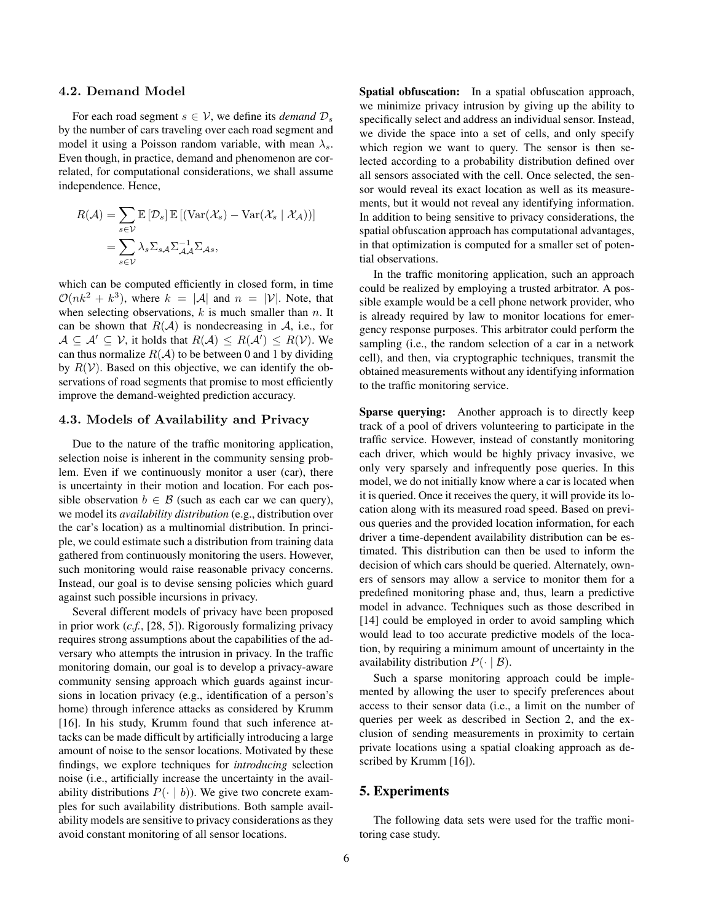#### 4.2. Demand Model

For each road segment  $s \in V$ , we define its *demand*  $\mathcal{D}_s$ by the number of cars traveling over each road segment and model it using a Poisson random variable, with mean  $\lambda_s$ . Even though, in practice, demand and phenomenon are correlated, for computational considerations, we shall assume independence. Hence,

$$
R(\mathcal{A}) = \sum_{s \in \mathcal{V}} \mathbb{E} [\mathcal{D}_s] \mathbb{E} [(\text{Var}(\mathcal{X}_s) - \text{Var}(\mathcal{X}_s | \mathcal{X}_{\mathcal{A}}))]
$$
  
= 
$$
\sum_{s \in \mathcal{V}} \lambda_s \Sigma_{s\mathcal{A}} \Sigma_{\mathcal{A}\mathcal{A}}^{-1} \Sigma_{\mathcal{A}s},
$$

which can be computed efficiently in closed form, in time  $\mathcal{O}(nk^2 + k^3)$ , where  $k = |\mathcal{A}|$  and  $n = |\mathcal{V}|$ . Note, that when selecting observations,  $k$  is much smaller than  $n$ . It can be shown that  $R(A)$  is nondecreasing in A, i.e., for  $A \subseteq A' \subseteq V$ , it holds that  $R(A) \le R(A') \le R(V)$ . We can thus normalize  $R(A)$  to be between 0 and 1 by dividing by  $R(V)$ . Based on this objective, we can identify the observations of road segments that promise to most efficiently improve the demand-weighted prediction accuracy.

### 4.3. Models of Availability and Privacy

Due to the nature of the traffic monitoring application, selection noise is inherent in the community sensing problem. Even if we continuously monitor a user (car), there is uncertainty in their motion and location. For each possible observation  $b \in \mathcal{B}$  (such as each car we can query), we model its *availability distribution* (e.g., distribution over the car's location) as a multinomial distribution. In principle, we could estimate such a distribution from training data gathered from continuously monitoring the users. However, such monitoring would raise reasonable privacy concerns. Instead, our goal is to devise sensing policies which guard against such possible incursions in privacy.

Several different models of privacy have been proposed in prior work (*c.f.*, [28, 5]). Rigorously formalizing privacy requires strong assumptions about the capabilities of the adversary who attempts the intrusion in privacy. In the traffic monitoring domain, our goal is to develop a privacy-aware community sensing approach which guards against incursions in location privacy (e.g., identification of a person's home) through inference attacks as considered by Krumm [16]. In his study, Krumm found that such inference attacks can be made difficult by artificially introducing a large amount of noise to the sensor locations. Motivated by these findings, we explore techniques for *introducing* selection noise (i.e., artificially increase the uncertainty in the availability distributions  $P(\cdot | b)$ ). We give two concrete examples for such availability distributions. Both sample availability models are sensitive to privacy considerations as they avoid constant monitoring of all sensor locations.

Spatial obfuscation: In a spatial obfuscation approach, we minimize privacy intrusion by giving up the ability to specifically select and address an individual sensor. Instead, we divide the space into a set of cells, and only specify which region we want to query. The sensor is then selected according to a probability distribution defined over all sensors associated with the cell. Once selected, the sensor would reveal its exact location as well as its measurements, but it would not reveal any identifying information. In addition to being sensitive to privacy considerations, the spatial obfuscation approach has computational advantages, in that optimization is computed for a smaller set of potential observations.

In the traffic monitoring application, such an approach could be realized by employing a trusted arbitrator. A possible example would be a cell phone network provider, who is already required by law to monitor locations for emergency response purposes. This arbitrator could perform the sampling (i.e., the random selection of a car in a network cell), and then, via cryptographic techniques, transmit the obtained measurements without any identifying information to the traffic monitoring service.

Sparse querying: Another approach is to directly keep track of a pool of drivers volunteering to participate in the traffic service. However, instead of constantly monitoring each driver, which would be highly privacy invasive, we only very sparsely and infrequently pose queries. In this model, we do not initially know where a car is located when it is queried. Once it receives the query, it will provide its location along with its measured road speed. Based on previous queries and the provided location information, for each driver a time-dependent availability distribution can be estimated. This distribution can then be used to inform the decision of which cars should be queried. Alternately, owners of sensors may allow a service to monitor them for a predefined monitoring phase and, thus, learn a predictive model in advance. Techniques such as those described in [14] could be employed in order to avoid sampling which would lead to too accurate predictive models of the location, by requiring a minimum amount of uncertainty in the availability distribution  $P(\cdot | \mathcal{B})$ .

Such a sparse monitoring approach could be implemented by allowing the user to specify preferences about access to their sensor data (i.e., a limit on the number of queries per week as described in Section 2, and the exclusion of sending measurements in proximity to certain private locations using a spatial cloaking approach as described by Krumm [16]).

# 5. Experiments

The following data sets were used for the traffic monitoring case study.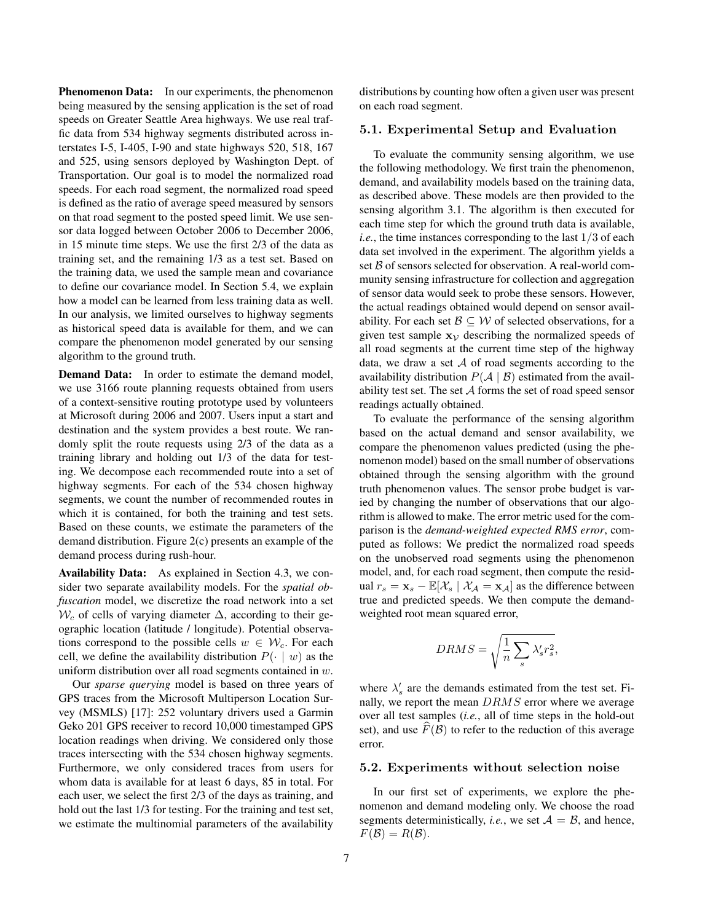Phenomenon Data: In our experiments, the phenomenon being measured by the sensing application is the set of road speeds on Greater Seattle Area highways. We use real traffic data from 534 highway segments distributed across interstates I-5, I-405, I-90 and state highways 520, 518, 167 and 525, using sensors deployed by Washington Dept. of Transportation. Our goal is to model the normalized road speeds. For each road segment, the normalized road speed is defined as the ratio of average speed measured by sensors on that road segment to the posted speed limit. We use sensor data logged between October 2006 to December 2006, in 15 minute time steps. We use the first 2/3 of the data as training set, and the remaining 1/3 as a test set. Based on the training data, we used the sample mean and covariance to define our covariance model. In Section 5.4, we explain how a model can be learned from less training data as well. In our analysis, we limited ourselves to highway segments as historical speed data is available for them, and we can compare the phenomenon model generated by our sensing algorithm to the ground truth.

Demand Data: In order to estimate the demand model, we use 3166 route planning requests obtained from users of a context-sensitive routing prototype used by volunteers at Microsoft during 2006 and 2007. Users input a start and destination and the system provides a best route. We randomly split the route requests using 2/3 of the data as a training library and holding out 1/3 of the data for testing. We decompose each recommended route into a set of highway segments. For each of the 534 chosen highway segments, we count the number of recommended routes in which it is contained, for both the training and test sets. Based on these counts, we estimate the parameters of the demand distribution. Figure 2(c) presents an example of the demand process during rush-hour.

Availability Data: As explained in Section 4.3, we consider two separate availability models. For the *spatial obfuscation* model, we discretize the road network into a set  $W_c$  of cells of varying diameter  $\Delta$ , according to their geographic location (latitude / longitude). Potential observations correspond to the possible cells  $w \in \mathcal{W}_c$ . For each cell, we define the availability distribution  $P(\cdot | w)$  as the uniform distribution over all road segments contained in w.

Our *sparse querying* model is based on three years of GPS traces from the Microsoft Multiperson Location Survey (MSMLS) [17]: 252 voluntary drivers used a Garmin Geko 201 GPS receiver to record 10,000 timestamped GPS location readings when driving. We considered only those traces intersecting with the 534 chosen highway segments. Furthermore, we only considered traces from users for whom data is available for at least 6 days, 85 in total. For each user, we select the first 2/3 of the days as training, and hold out the last 1/3 for testing. For the training and test set, we estimate the multinomial parameters of the availability

distributions by counting how often a given user was present on each road segment.

### 5.1. Experimental Setup and Evaluation

To evaluate the community sensing algorithm, we use the following methodology. We first train the phenomenon, demand, and availability models based on the training data, as described above. These models are then provided to the sensing algorithm 3.1. The algorithm is then executed for each time step for which the ground truth data is available, *i.e.*, the time instances corresponding to the last 1/3 of each data set involved in the experiment. The algorithm yields a set  $\beta$  of sensors selected for observation. A real-world community sensing infrastructure for collection and aggregation of sensor data would seek to probe these sensors. However, the actual readings obtained would depend on sensor availability. For each set  $\mathcal{B} \subseteq \mathcal{W}$  of selected observations, for a given test sample  $x<sub>V</sub>$  describing the normalized speeds of all road segments at the current time step of the highway data, we draw a set  $A$  of road segments according to the availability distribution  $P(A | B)$  estimated from the availability test set. The set  $A$  forms the set of road speed sensor readings actually obtained.

To evaluate the performance of the sensing algorithm based on the actual demand and sensor availability, we compare the phenomenon values predicted (using the phenomenon model) based on the small number of observations obtained through the sensing algorithm with the ground truth phenomenon values. The sensor probe budget is varied by changing the number of observations that our algorithm is allowed to make. The error metric used for the comparison is the *demand-weighted expected RMS error*, computed as follows: We predict the normalized road speeds on the unobserved road segments using the phenomenon model, and, for each road segment, then compute the residual  $r_s = \mathbf{x}_s - \mathbb{E}[\mathcal{X}_s | \mathcal{X}_A = \mathbf{x}_A]$  as the difference between true and predicted speeds. We then compute the demandweighted root mean squared error,

$$
DRMS = \sqrt{\frac{1}{n}\sum_s \lambda'_s r_s^2},
$$

where  $\lambda'_{s}$  are the demands estimated from the test set. Finally, we report the mean  $DRMS$  error where we average over all test samples (*i.e.*, all of time steps in the hold-out set), and use  $\widehat{F}(\mathcal{B})$  to refer to the reduction of this average error.

#### 5.2. Experiments without selection noise

In our first set of experiments, we explore the phenomenon and demand modeling only. We choose the road segments deterministically, *i.e.*, we set  $A = B$ , and hence,  $F(\mathcal{B}) = R(\mathcal{B}).$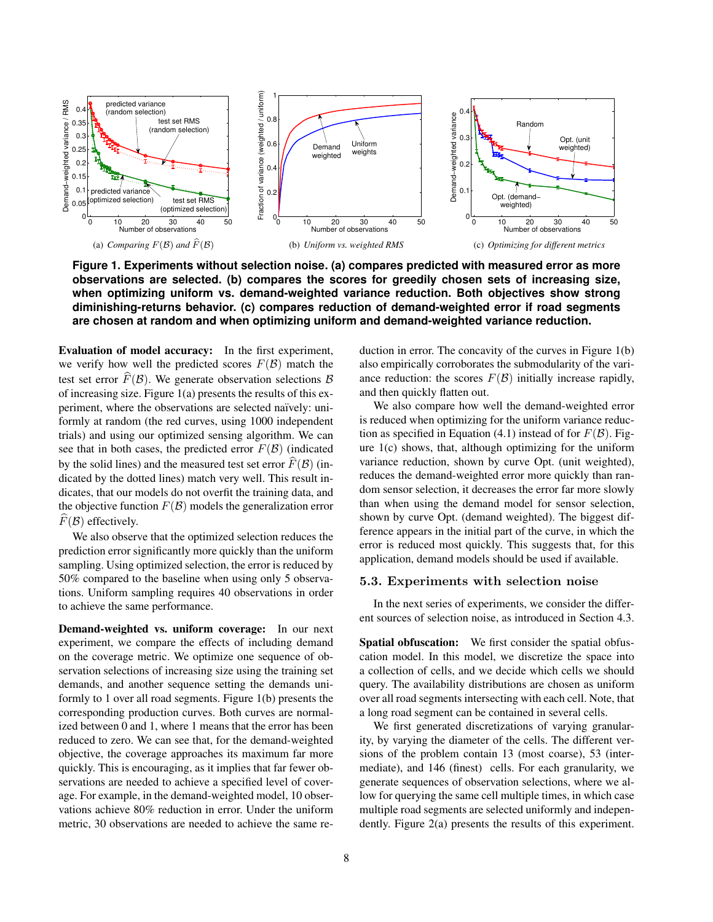

**Figure 1. Experiments without selection noise. (a) compares predicted with measured error as more observations are selected. (b) compares the scores for greedily chosen sets of increasing size, when optimizing uniform vs. demand-weighted variance reduction. Both objectives show strong diminishing-returns behavior. (c) compares reduction of demand-weighted error if road segments are chosen at random and when optimizing uniform and demand-weighted variance reduction.**

Evaluation of model accuracy: In the first experiment, we verify how well the predicted scores  $F(\mathcal{B})$  match the test set error  $\widehat{F}(\mathcal{B})$ . We generate observation selections  $\mathcal{B}$ of increasing size. Figure 1(a) presents the results of this experiment, where the observations are selected naïvely: uniformly at random (the red curves, using 1000 independent trials) and using our optimized sensing algorithm. We can see that in both cases, the predicted error  $F(\mathcal{B})$  (indicated by the solid lines) and the measured test set error  $\vec{F}(\mathcal{B})$  (indicated by the dotted lines) match very well. This result indicates, that our models do not overfit the training data, and the objective function  $F(\mathcal{B})$  models the generalization error  $F(\mathcal{B})$  effectively.

We also observe that the optimized selection reduces the prediction error significantly more quickly than the uniform sampling. Using optimized selection, the error is reduced by 50% compared to the baseline when using only 5 observations. Uniform sampling requires 40 observations in order to achieve the same performance.

Demand-weighted vs. uniform coverage: In our next experiment, we compare the effects of including demand on the coverage metric. We optimize one sequence of observation selections of increasing size using the training set demands, and another sequence setting the demands uniformly to 1 over all road segments. Figure 1(b) presents the corresponding production curves. Both curves are normalized between 0 and 1, where 1 means that the error has been reduced to zero. We can see that, for the demand-weighted objective, the coverage approaches its maximum far more quickly. This is encouraging, as it implies that far fewer observations are needed to achieve a specified level of coverage. For example, in the demand-weighted model, 10 observations achieve 80% reduction in error. Under the uniform metric, 30 observations are needed to achieve the same reduction in error. The concavity of the curves in Figure 1(b) also empirically corroborates the submodularity of the variance reduction: the scores  $F(\mathcal{B})$  initially increase rapidly, and then quickly flatten out.

We also compare how well the demand-weighted error is reduced when optimizing for the uniform variance reduction as specified in Equation (4.1) instead of for  $F(\mathcal{B})$ . Figure  $1(c)$  shows, that, although optimizing for the uniform variance reduction, shown by curve Opt. (unit weighted), reduces the demand-weighted error more quickly than random sensor selection, it decreases the error far more slowly than when using the demand model for sensor selection, shown by curve Opt. (demand weighted). The biggest difference appears in the initial part of the curve, in which the error is reduced most quickly. This suggests that, for this application, demand models should be used if available.

#### 5.3. Experiments with selection noise

In the next series of experiments, we consider the different sources of selection noise, as introduced in Section 4.3.

Spatial obfuscation: We first consider the spatial obfuscation model. In this model, we discretize the space into a collection of cells, and we decide which cells we should query. The availability distributions are chosen as uniform over all road segments intersecting with each cell. Note, that a long road segment can be contained in several cells.

We first generated discretizations of varying granularity, by varying the diameter of the cells. The different versions of the problem contain 13 (most coarse), 53 (intermediate), and 146 (finest) cells. For each granularity, we generate sequences of observation selections, where we allow for querying the same cell multiple times, in which case multiple road segments are selected uniformly and independently. Figure 2(a) presents the results of this experiment.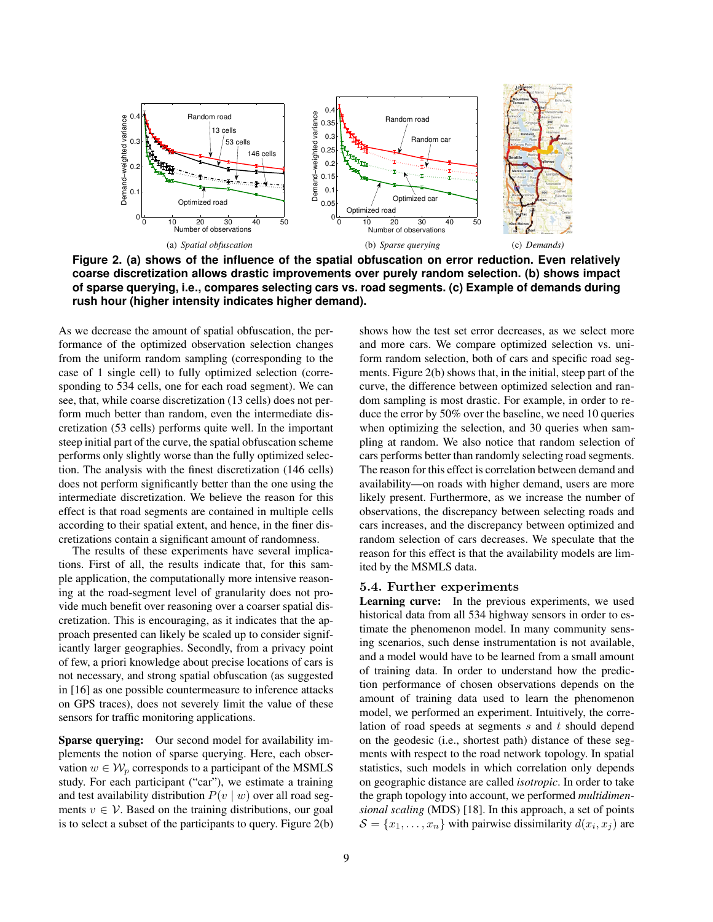

**Figure 2. (a) shows of the influence of the spatial obfuscation on error reduction. Even relatively coarse discretization allows drastic improvements over purely random selection. (b) shows impact of sparse querying, i.e., compares selecting cars vs. road segments. (c) Example of demands during rush hour (higher intensity indicates higher demand).**

As we decrease the amount of spatial obfuscation, the performance of the optimized observation selection changes from the uniform random sampling (corresponding to the case of 1 single cell) to fully optimized selection (corresponding to 534 cells, one for each road segment). We can see, that, while coarse discretization (13 cells) does not perform much better than random, even the intermediate discretization (53 cells) performs quite well. In the important steep initial part of the curve, the spatial obfuscation scheme performs only slightly worse than the fully optimized selection. The analysis with the finest discretization (146 cells) does not perform significantly better than the one using the intermediate discretization. We believe the reason for this effect is that road segments are contained in multiple cells according to their spatial extent, and hence, in the finer discretizations contain a significant amount of randomness.

The results of these experiments have several implications. First of all, the results indicate that, for this sample application, the computationally more intensive reasoning at the road-segment level of granularity does not provide much benefit over reasoning over a coarser spatial discretization. This is encouraging, as it indicates that the approach presented can likely be scaled up to consider significantly larger geographies. Secondly, from a privacy point of few, a priori knowledge about precise locations of cars is not necessary, and strong spatial obfuscation (as suggested in [16] as one possible countermeasure to inference attacks on GPS traces), does not severely limit the value of these sensors for traffic monitoring applications.

Sparse querying: Our second model for availability implements the notion of sparse querying. Here, each observation  $w \in \mathcal{W}_p$  corresponds to a participant of the MSMLS study. For each participant ("car"), we estimate a training and test availability distribution  $P(v | w)$  over all road segments  $v \in V$ . Based on the training distributions, our goal is to select a subset of the participants to query. Figure 2(b)

shows how the test set error decreases, as we select more and more cars. We compare optimized selection vs. uniform random selection, both of cars and specific road segments. Figure 2(b) shows that, in the initial, steep part of the curve, the difference between optimized selection and random sampling is most drastic. For example, in order to reduce the error by 50% over the baseline, we need 10 queries when optimizing the selection, and 30 queries when sampling at random. We also notice that random selection of cars performs better than randomly selecting road segments. The reason for this effect is correlation between demand and availability—on roads with higher demand, users are more likely present. Furthermore, as we increase the number of observations, the discrepancy between selecting roads and cars increases, and the discrepancy between optimized and random selection of cars decreases. We speculate that the reason for this effect is that the availability models are limited by the MSMLS data.

### 5.4. Further experiments

Learning curve: In the previous experiments, we used historical data from all 534 highway sensors in order to estimate the phenomenon model. In many community sensing scenarios, such dense instrumentation is not available, and a model would have to be learned from a small amount of training data. In order to understand how the prediction performance of chosen observations depends on the amount of training data used to learn the phenomenon model, we performed an experiment. Intuitively, the correlation of road speeds at segments  $s$  and  $t$  should depend on the geodesic (i.e., shortest path) distance of these segments with respect to the road network topology. In spatial statistics, such models in which correlation only depends on geographic distance are called *isotropic*. In order to take the graph topology into account, we performed *multidimensional scaling* (MDS) [18]. In this approach, a set of points  $S = \{x_1, \ldots, x_n\}$  with pairwise dissimilarity  $d(x_i, x_j)$  are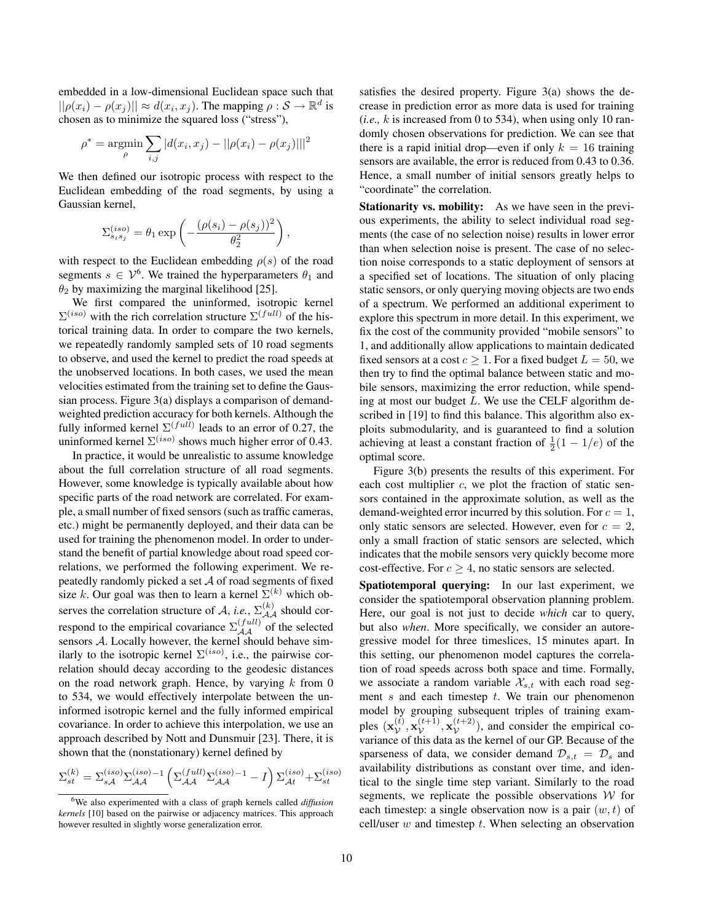embedded in a low-dimensional Euclidean space such that  $||\rho(x_i) - \rho(x_j)|| \approx d(x_i, x_j)$ . The mapping  $\rho : \mathcal{S} \to \mathbb{R}^d$  is chosen as to minimize the squared loss ("stress"),

$$
\rho^* = \underset{\rho}{\text{argmin}} \sum_{i,j} |d(x_i, x_j) - ||\rho(x_i) - \rho(x_j)|||^2
$$

We then defined our isotropic process with respect to the Euclidean embedding of the road segments, by using a Gaussian kernel,

$$
\Sigma_{s_i s_j}^{(iso)} = \theta_1 \exp\left(-\frac{(\rho(s_i) - \rho(s_j))^2}{\theta_2^2}\right),\,
$$

with respect to the Euclidean embedding  $\rho(s)$  of the road segments  $s \in V^6$ . We trained the hyperparameters  $\theta_1$  and  $\theta_2$  by maximizing the marginal likelihood [25].

We first compared the uninformed, isotropic kernel  $\Sigma^{(iso)}$  with the rich correlation structure  $\Sigma^{(full)}$  of the historical training data. In order to compare the two kernels, we repeatedly randomly sampled sets of 10 road segments to observe, and used the kernel to predict the road speeds at the unobserved locations. In both cases, we used the mean velocities estimated from the training set to define the Gaussian process. Figure 3(a) displays a comparison of demandweighted prediction accuracy for both kernels. Although the fully informed kernel  $\Sigma^{(full)}$  leads to an error of 0.27, the uninformed kernel  $\Sigma^{(iso)}$  shows much higher error of 0.43.

In practice, it would be unrealistic to assume knowledge about the full correlation structure of all road segments. However, some knowledge is typically available about how specific parts of the road network are correlated. For example, a small number of fixed sensors (such as traffic cameras, etc.) might be permanently deployed, and their data can be used for training the phenomenon model. In order to understand the benefit of partial knowledge about road speed correlations, we performed the following experiment. We repeatedly randomly picked a set  $A$  of road segments of fixed size k. Our goal was then to learn a kernel  $\Sigma^{(k)}$  which observes the correlation structure of A, *i.e.*,  $\Sigma_{\mathcal{A}\mathcal{A}}^{(k)}$  should correspond to the empirical covariance  $\Sigma_{\mathcal{A}\mathcal{A}}^{(full)}$  of the selected sensors A. Locally however, the kernel should behave similarly to the isotropic kernel  $\Sigma^{(iso)}$ , i.e., the pairwise correlation should decay according to the geodesic distances on the road network graph. Hence, by varying  $k$  from 0 to 534, we would effectively interpolate between the uninformed isotropic kernel and the fully informed empirical covariance. In order to achieve this interpolation, we use an approach described by Nott and Dunsmuir [23]. There, it is shown that the (nonstationary) kernel defined by

$$
\Sigma_{st}^{(k)} = \Sigma_{s\mathcal{A}}^{(iso)}\Sigma_{\mathcal{A}\mathcal{A}}^{(iso)-1} \left( \Sigma_{\mathcal{A}\mathcal{A}}^{(full)}\Sigma_{\mathcal{A}\mathcal{A}}^{(iso)-1} - I \right) \Sigma_{\mathcal{A}t}^{(iso)} + \Sigma_{st}^{(iso)}
$$

satisfies the desired property. Figure 3(a) shows the decrease in prediction error as more data is used for training  $(i.e., k$  is increased from 0 to 534), when using only 10 randomly chosen observations for prediction. We can see that there is a rapid initial drop—even if only  $k = 16$  training sensors are available, the error is reduced from 0.43 to 0.36. Hence, a small number of initial sensors greatly helps to "coordinate" the correlation.

Stationarity vs. mobility: As we have seen in the previous experiments, the ability to select individual road segments (the case of no selection noise) results in lower error than when selection noise is present. The case of no selection noise corresponds to a static deployment of sensors at a specified set of locations. The situation of only placing static sensors, or only querying moving objects are two ends of a spectrum. We performed an additional experiment to explore this spectrum in more detail. In this experiment, we fix the cost of the community provided "mobile sensors" to 1, and additionally allow applications to maintain dedicated fixed sensors at a cost  $c \geq 1$ . For a fixed budget  $L = 50$ , we then try to find the optimal balance between static and mobile sensors, maximizing the error reduction, while spending at most our budget  $L$ . We use the CELF algorithm described in [19] to find this balance. This algorithm also exploits submodularity, and is guaranteed to find a solution achieving at least a constant fraction of  $\frac{1}{2}(1 - 1/e)$  of the optimal score.

Figure 3(b) presents the results of this experiment. For each cost multiplier  $c$ , we plot the fraction of static sensors contained in the approximate solution, as well as the demand-weighted error incurred by this solution. For  $c = 1$ , only static sensors are selected. However, even for  $c = 2$ , only a small fraction of static sensors are selected, which indicates that the mobile sensors very quickly become more cost-effective. For  $c > 4$ , no static sensors are selected.

Spatiotemporal querying: In our last experiment, we consider the spatiotemporal observation planning problem. Here, our goal is not just to decide *which* car to query, but also *when*. More specifically, we consider an autoregressive model for three timeslices, 15 minutes apart. In this setting, our phenomenon model captures the correlation of road speeds across both space and time. Formally, we associate a random variable  $\mathcal{X}_{s,t}$  with each road segment  $s$  and each timestep  $t$ . We train our phenomenon model by grouping subsequent triples of training examples  $(\mathbf{x}_{\mathcal{V}}^{(t)}$  $\overset{(t)}{\mathcal{V}}, \mathbf{x}_{\mathcal{V}}^{(t+1)}$  $(\mathcal{V}^{t+1)}, \mathbf{x}_{\mathcal{V}}^{(t+2)}$  $(\mathcal{V}^{(t+2)})$ , and consider the empirical covariance of this data as the kernel of our GP. Because of the sparseness of data, we consider demand  $\mathcal{D}_{s,t} = \mathcal{D}_s$  and availability distributions as constant over time, and identical to the single time step variant. Similarly to the road segments, we replicate the possible observations  $W$  for each timestep: a single observation now is a pair  $(w, t)$  of cell/user  $w$  and timestep  $t$ . When selecting an observation

<sup>6</sup>We also experimented with a class of graph kernels called *diffusion kernels* [10] based on the pairwise or adjacency matrices. This approach however resulted in slightly worse generalization error.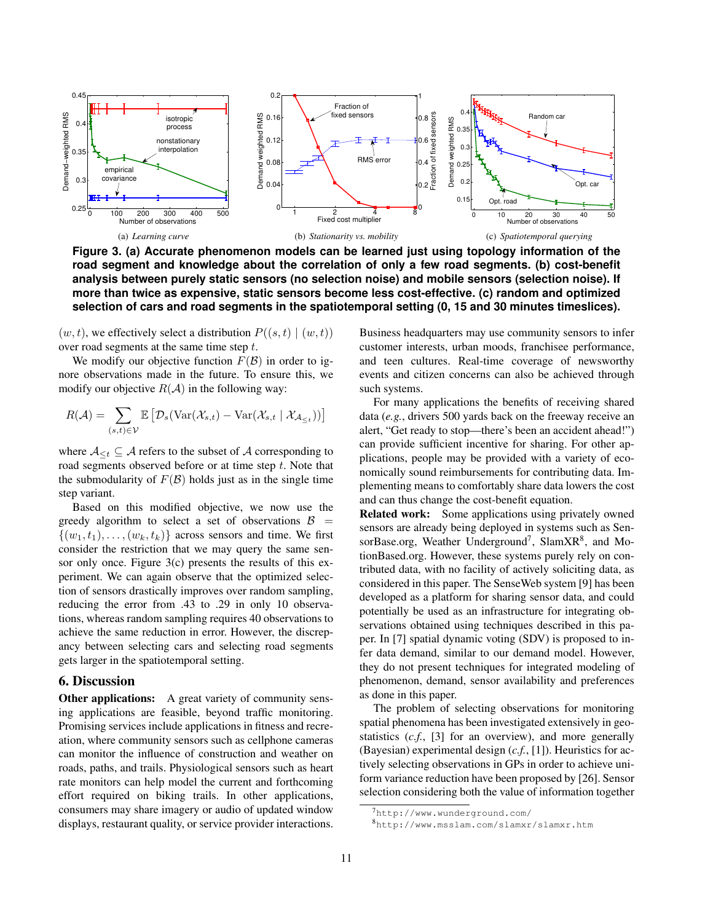

**Figure 3. (a) Accurate phenomenon models can be learned just using topology information of the road segment and knowledge about the correlation of only a few road segments. (b) cost-benefit analysis between purely static sensors (no selection noise) and mobile sensors (selection noise). If more than twice as expensive, static sensors become less cost-effective. (c) random and optimized selection of cars and road segments in the spatiotemporal setting (0, 15 and 30 minutes timeslices).**

 $(w, t)$ , we effectively select a distribution  $P((s, t) | (w, t))$ over road segments at the same time step t.

We modify our objective function  $F(\mathcal{B})$  in order to ignore observations made in the future. To ensure this, we modify our objective  $R(A)$  in the following way:

$$
R(\mathcal{A}) = \sum_{(s,t)\in\mathcal{V}} \mathbb{E}\left[\mathcal{D}_s(\text{Var}(\mathcal{X}_{s,t}) - \text{Var}(\mathcal{X}_{s,t} | \mathcal{X}_{\mathcal{A}_{\leq t}}))\right]
$$

where  $A_{\leq t} \subseteq A$  refers to the subset of A corresponding to road segments observed before or at time step  $t$ . Note that the submodularity of  $F(\mathcal{B})$  holds just as in the single time step variant.

Based on this modified objective, we now use the greedy algorithm to select a set of observations  $\beta$  =  $\{(w_1, t_1), \ldots, (w_k, t_k)\}\)$  across sensors and time. We first consider the restriction that we may query the same sensor only once. Figure 3(c) presents the results of this experiment. We can again observe that the optimized selection of sensors drastically improves over random sampling, reducing the error from .43 to .29 in only 10 observations, whereas random sampling requires 40 observations to achieve the same reduction in error. However, the discrepancy between selecting cars and selecting road segments gets larger in the spatiotemporal setting.

### 6. Discussion

**Other applications:** A great variety of community sensing applications are feasible, beyond traffic monitoring. Promising services include applications in fitness and recreation, where community sensors such as cellphone cameras can monitor the influence of construction and weather on roads, paths, and trails. Physiological sensors such as heart rate monitors can help model the current and forthcoming effort required on biking trails. In other applications, consumers may share imagery or audio of updated window displays, restaurant quality, or service provider interactions.

Business headquarters may use community sensors to infer customer interests, urban moods, franchisee performance, and teen cultures. Real-time coverage of newsworthy events and citizen concerns can also be achieved through such systems.

For many applications the benefits of receiving shared data (*e.g.*, drivers 500 yards back on the freeway receive an alert, "Get ready to stop—there's been an accident ahead!") can provide sufficient incentive for sharing. For other applications, people may be provided with a variety of economically sound reimbursements for contributing data. Implementing means to comfortably share data lowers the cost and can thus change the cost-benefit equation.

Related work: Some applications using privately owned sensors are already being deployed in systems such as SensorBase.org, Weather Underground<sup>7</sup>, SlamXR<sup>8</sup>, and MotionBased.org. However, these systems purely rely on contributed data, with no facility of actively soliciting data, as considered in this paper. The SenseWeb system [9] has been developed as a platform for sharing sensor data, and could potentially be used as an infrastructure for integrating observations obtained using techniques described in this paper. In [7] spatial dynamic voting (SDV) is proposed to infer data demand, similar to our demand model. However, they do not present techniques for integrated modeling of phenomenon, demand, sensor availability and preferences as done in this paper.

The problem of selecting observations for monitoring spatial phenomena has been investigated extensively in geostatistics (*c.f.*, [3] for an overview), and more generally (Bayesian) experimental design (*c.f.*, [1]). Heuristics for actively selecting observations in GPs in order to achieve uniform variance reduction have been proposed by [26]. Sensor selection considering both the value of information together

<sup>7</sup>http://www.wunderground.com/

<sup>8</sup>http://www.msslam.com/slamxr/slamxr.htm